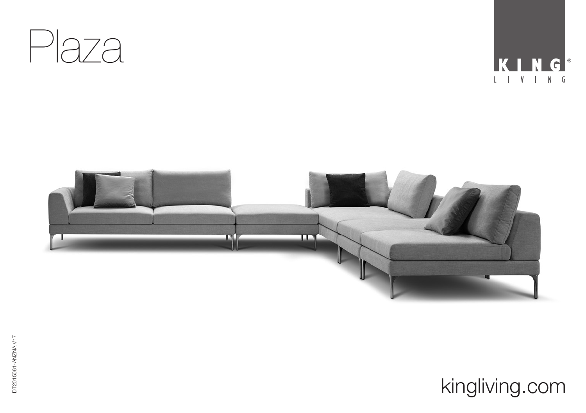



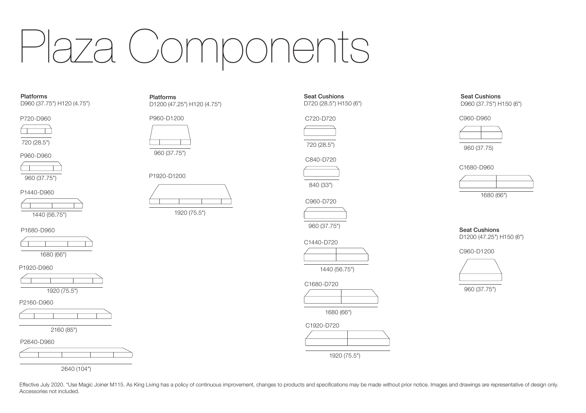# Plaza Components

Platforms D960 (37.75") H120 (4.75")

P720-D960

720 (28.5")





P1440-D960



P1680-D960



P1920-D960







2160 (85")





2640 (104")

Platforms D1200 (47.25") H120 (4.75")

P960-D1200



960 (37.75")







C840-D720

720 (28.5")

840 (33")

Seat Cushions D720 (28.5") H150 (6")

C720-D720

960 (37.75")

C1440-D720

1440 (56.75")

C1680-D720



1680 (66")



Seat Cushions D960 (37.75") H150 (6")

C960-D960



960 (37.75)

C1680-D960



1680 (66")

Seat Cushions D1200 (47.25") H150 (6")

C960-D1200



960 (37.75")

Effective July 2020. \*Use Magic Joiner M115. As King Living has a policy of continuous improvement, changes to products and specifications may be made without prior notice. Images and drawings are representative of design Accessories not included.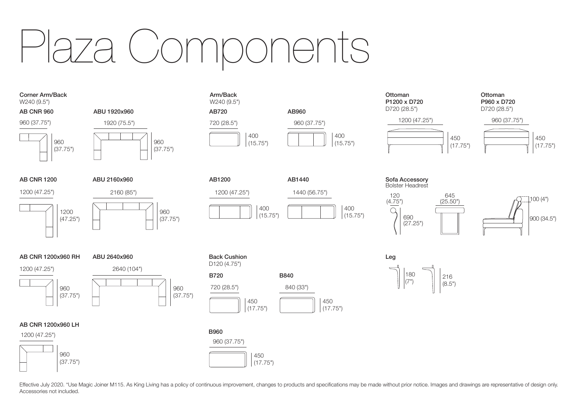# Plaza Components

Arm/Back W<sub>240</sub> (9.5")





960 (37.75")



AB720 AB960 720 (28.5") 960 (37.75")

> 400 (15.75")

AB1200 AB1440



1200 (47.25")

#### 1200 (47.25")

AB CNR 1200

1200 (47.25")



# ABU 2640x960 2640 (104")

ABU 2160x960 2160 (85")



### AB CNR 1200x960 LH

1200 (47.25")



### 450 (17.75") B720 B840 720 (28.5") 840 (33") Back Cushion D120 (4.75")

### B960





Sofa Accessory Bolster Headrest



100 (4")

 $180$ <br> $(7")$  $(7")$   $||$   $|^{216}_{(8.5")}$ Leg

Effective July 2020. \*Use Magic Joiner M115. As King Living has a policy of continuous improvement, changes to products and specifications may be made without prior notice. Images and drawings are representative of design Accessories not included.

450  $(17.75")$ 

400  $(15.75")$ 

> 400 (15.75")